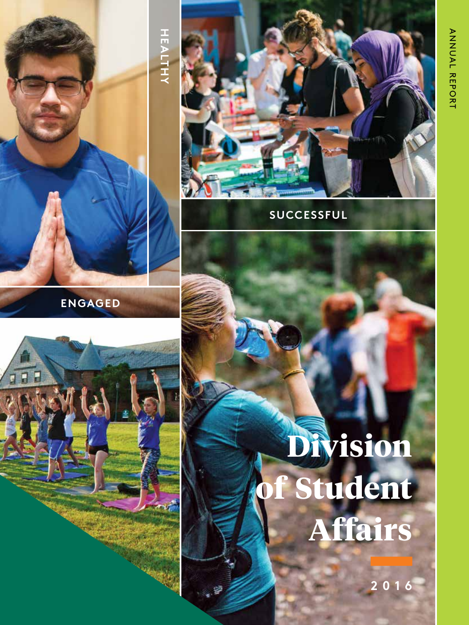

**ENGAGED**





**SUCCESSFUL**

## **Division of Student Affairs**

寧

**2016**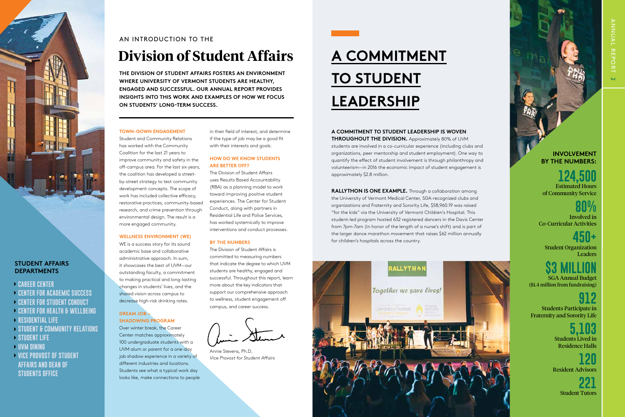#### AN INTRODUCTION TO THE

## **Division of Student Affairs**

**THE DIVISION OF STUDENT AFFAIRS FOSTERS AN ENVIRONMENT WHERE UNIVERSITY OF VERMONT STUDENTS ARE HEALTHY, ENGAGED AND SUCCESSFUL. OUR ANNUAL REPORT PROVIDES INSIGHTS INTO THIS WORK AND EXAMPLES OF HOW WE FOCUS ON STUDENTS' LONG-TERM SUCCESS.**

- **CAREER CENTER**
- **CENTER FOR ACADEMIC SUCCESS**
- **CENTER FOR STUDENT CONDUCT**
- **CENTER FOR HEALTH & WELLBEING**
- **RESIDENTIAL LIFE**
- **STUDENT & COMMUNITY RELATIONS**
- **STUDENT LIFE**
- **UVM DINING**
- **VICE PROVOST OF STUDENT AFFAIRS AND DEAN OF STUDENTS OFFICE**



#### **STUDENT AFFAIRS DEPARTMENTS**

#### **A COMMITMENT TO STUDENT LEADERSHIP IS WOVEN**

**THROUGHOUT THE DIVISION.** Approximately 80% of UVM students are involved in a co-curricular experience (including clubs and organizations, peer mentorship and student employment). One way to quantify the effect of student involvement is through philanthropy and volunteerism—in 2016 the economic impact of student engagement is approximately \$2.8 million.

**RALLYTHON IS ONE EXAMPLE.** Through a collaboration among the University of Vermont Medical Center, SGA-recognized clubs and organizations and Fraternity and Sorority Life, \$58,960.19 was raised "for the kids" via the University of Vermont Children's Hospital. This student-led program hosted 632 registered dancers in the Davis Center from 7pm-7am (in honor of the length of a nurse's shift) and is part of the larger dance marathon movement that raises \$62 million annually for children's hospitals across the country.



## **A COMMITMENT TO STUDENT LEADERSHIP**

#### **TOWN-GOWN ENGAGEMENT**

Student and Community Relations has worked with the Community Coalition for the last 21 years to improve community and safety in the off-campus area. For the last six years, the coalition has developed a streetby-street strategy to test community development concepts. The scope of work has included collective efficacy, restorative practices, community-based research, and crime prevention through environmental design. The result is a more engaged community.

#### **WELLNESS ENVIRONMENT (WE)**

WE is a success story for its sound academic base and collaborative administrative approach. In sum, it showcases the best of UVM—our outstanding faculty, a commitment to making practical and long-lasting changes in students' lives, and the shared vision across campus to decrease high-risk drinking rates.

#### **DREAM JOB – SHADOWING PROGRAM**

Over winter break, the Career Center matches approximately 100 undergraduate students with a UVM alum or parent for a one-day job shadow experience in a variety of different industries and locations. Students see what a typical work day looks like, make connections to people

in their field of interest, and determine if the type of job may be a good fit with their interests and goals.

#### **HOW DO WE KNOW STUDENTS ARE BETTER OFF?**

The Division of Student Affairs uses Results Based Accountability (RBA) as a planning model to work toward improving positive student experiences. The Center for Student Conduct, along with partners in Residential Life and Police Services, has worked systemically to improve interventions and conduct processes.

#### **BY THE NUMBERS**

The Division of Student Affairs is committed to measuring numbers that indicate the degree to which UVM students are healthy, engaged and successful. Throughout this report, learn more about the key indicators that support our comprehensive approach to wellness, student engagement off campus, and career success.

Annie Stevens, Ph.D. *Vice Provost for Student Affairs*

**INVOLVEMENT BY THE NUMBERS:** 

## **124,500**

Estimated Hours of Community Service

**80%** Involved in Co-Curricular Activities

#### **450+** Student Organization Leaders

## **\$3 MILLION**

SGA Annual Budget (\$1.4 million from fundraising)

**912** Students Participate in Fraternity and Sorority Life

> **5,103** Students Lived in Residence Halls

**120** Resident Advisors

> **221** Student Tutors

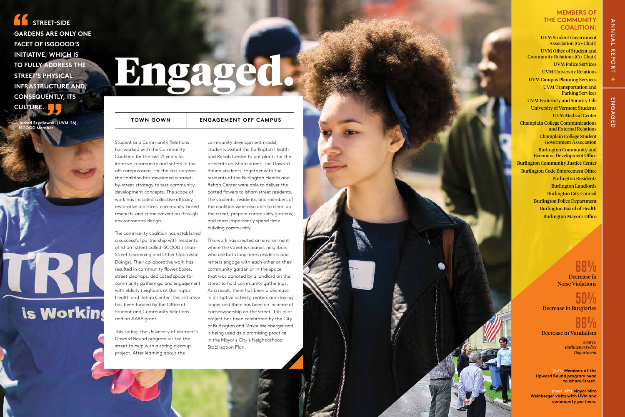Student and Community Relations has worked with the Community Coalition for the last 21 years to improve community and safety in the off-campus area. For the last six years, the coalition has developed a streetby-street strategy to test community development concepts. The scope of work has included collective efficacy, restorative practices, community-based research, and crime prevention through environmental design.

The community coalition has established a successful partnership with residents of Isham street called ISGOOD (Isham Street Gardening and Other Optimistic Doings). Their collaborative work has resulted in community flower boxes, street cleanups, dedicated space for community gatherings, and engagement with elderly neighbors at Burlington Health and Rehab Center. This initiative has been funded by the Office of Student and Community Relations and an AARP grant.

This spring, the University of Vermont's Upward Bound program visited the street to help with a spring cleanup project. After learning about the

**COALITION:** STREET-SIDE **COALITION:** COALITION: **GARDENS ARE ONLY ONE FACET OF ISGOOOD'S INITIATIVE, WHICH IS TO FULLY ADDRESS THE STREET'S PHYSICAL INFRASTRUCTURE AND, CONSEQUENTLY, ITS CULTURE.**

> community development model, students visited the Burlington Health and Rehab Center to pot plants for the residents on Isham street. The Upward Bound students, together with the residents of the Burlington Health and Rehab Center were able to deliver the potted flowers to Isham street residents. The students, residents, and members of the coalition were also able to clean up the street, prepare community gardens, and most importantly spend time building community.

> This work has created an environment where the street is cleaner, neighbors who are both long-term residents and renters engage with each other at their community garden or in the space that was donated by a landlord on the street to hold community gatherings. As a result, there has been a decrease in disruptive activity, renters are staying longer and there has been an increase of homeownership on the street. This pilot project has been celebrated by the City of Burlington and Mayor Weinberger and is being used as a promising practice in the Mayor's City's Neighborhood Stabilization Plan.

# Engaged.

#### **TOWN GOWN ENGAGEMENT OFF CAMPUS**

#### **MEMBERS OF THE COMMUNITY**

**— Jarrod Szydlowski (UVM '16), ISGOOD Member**

TRI

is Working

(near left) **Mayor Miro Weinberger visits with UVM and community partners.**

## **68%**

Decrease in Noise Violations

#### **50%** Decrease in Burglaries

## **86%**

Decrease in Vandalism

*Source: Burlington Police Department*

(left) **Members of the Upward Bound program head to Isham Street.** 

UVM Student Government Association (Co-Chair) UVM Office of Student and Community Relations (Co-Chair) UVM Police Services

UVM University Relations UVM Campus Planning Services UVM Transportation and Parking Services UVM Fraternity and Sorority Life University of Vermont Students

UVM Medical Center

Champlain College Communications and External Relations Champlain College Student

Government Association Burlington Community and Economic Development Office Burlington Community Justice Center Burlington Code Enforcement Office Burlington Residents Burlington Landlords Burlington City Council Burlington Police Department Burlington Board of Health Burlington Mayor's Office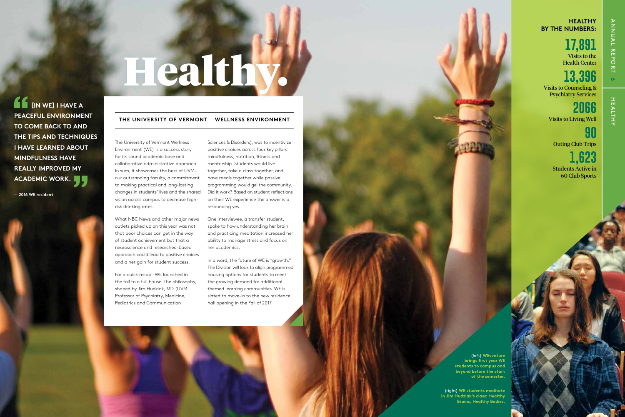The University of Vermont Wellness Environment (WE) is a success story for its sound academic base and collaborative administrative approach. In sum, it showcases the best of UVM – our outstanding faculty, a commitment to making practical and long-lasting changes in students' lives and the shared vision across campus to decrease highrisk drinking rates.

What NBC News and other major news outlets picked up on this year was not that poor choices can get in the way of student achievement but that a neuroscience and researched-based approach could lead to positive choices and a net gain for student success.

For a quick recap—WE launched in the fall to a full house. The philosophy, shaped by Jim Hudziak, MD (UVM Professor of Psychiatry, Medicine, Pediatrics and Communication

**HEALTH** HEALTHY

**1** [IN WE] I HAVE A **PEACEFUL ENVIRONMENT TO COME BACK TO AND THE TIPS AND TECHNIQUES I HAVE LEARNED ABOUT MINDFULNESS HAVE REALLY IMPROVED MY ACADEMIC WORK.**

Sciences & Disorders), was to incentivize positive choices across four key pillars: mindfulness, nutrition, fitness and mentorship. Students would live together, take a class together, and have meals together while passive programming would gel the community. Did it work? Based on student reflections on their WE experience the answer is a resounding yes.

One interviewee, a transfer student, spoke to how understanding her brain and practicing meditation increased her ability to manage stress and focus on her academics.

In a word, the future of WE is "growth." The Division will look to align programmed housing options for students to meet the growing demand for additional themed learning communities. WE is slated to move-in to the new residence hall opening in the Fall of 2017.

**ANNUAL REPORT** ANNUAL REPORT 6  $\overline{\mathbf{c}}$ 

# Healthy.

**THE UNIVERSITY OF VERMONT WELLNESS ENVIRONMENT**

**— 2016 WE resident**

(right) **WE students meditate in Jim Hudziak's class: Healthy Brains, Healthy Bodies.**

(left) **WEventure brings first year WE students to campus and beyond before the start of the semester.** 

#### **HEALTHY BY THE NUMBERS:**

**17,891**  Visits to the

Health Center

**13,396** Visits to Counseling & Psychiatry Services

**2066** Visits to Living Well

**90**

Outing Club Trips

**1,623** Students Active in 60 Club Sports

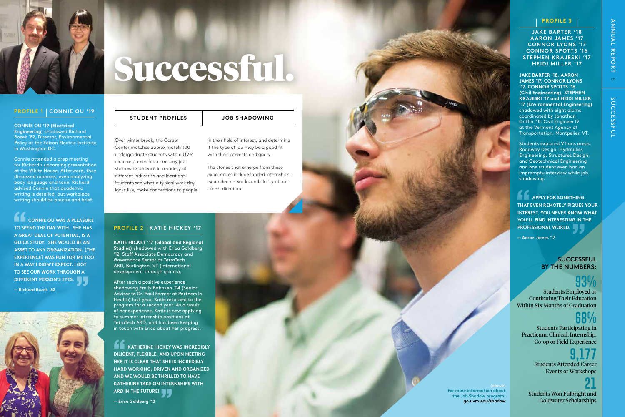#### **CONNIE OU '19 (Electrical Engineering)** shadowed Richard Bozek '82, Director, Environmental

Policy at the Edison Electric Institute in Washington DC. Connie attended a prep meeting

for Richard's upcoming presentation at the White House. Afterward, they discussed nuances, even analyzing body language and tone. Richard advised Connie that academic writing is detailed, but workplace writing should be precise and brief.

**EDUAL CONNIE OU WAS A PLEASURE TO SPEND THE DAY WITH. SHE HAS A GREAT DEAL OF POTENTIAL, IS A QUICK STUDY. SHE WOULD BE AN ASSET TO ANY ORGANIZATION. [THE EXPERIENCE] WAS FUN FOR ME TOO IN A WAY I DIDN'T EXPECT. I GOT TO SEE OUR WORK THROUGH A DIFFERENT PERSON'S EYES.**

SUCCESSEUL SUCCESSFUL

**— Richard Bozek '82**



# Successful.

Over winter break, the Career Center matches approximately 100 undergraduate students with a UVM alum or parent for a one-day job shadow experience in a variety of different industries and locations. Students see what a typical work day looks like, make connections to people in their field of interest, and determine if the type of job may be a good fit with their interests and goals.

**KATHERINE HICKEY WAS INCREDIBLY DILIGENT, FLEXIBLE, AND UPON MEETING HER IT IS CLEAR THAT SHE IS INCREDIBLY HARD WORKING, DRIVEN AND ORGANIZED AND WE WOULD BE THRILLED TO HAVE KATHERINE TAKE ON INTERNSHIPS WITH**  *ARD* **IN THE FUTURE!**

The stories that emerge from these experiences include landed internships, expanded networks and clarity about career direction.

#### **PROFILE 2 | KATIE HICKEY '17**

#### **STUDENT PROFILES JOB SHADOWING**



#### **PROFILE 1 CONNIE OU '19**

**KATIE HICKEY '17 (Global and Regional Studies)** shadowed with Erica Goldberg '12, Staff Associate Democracy and Governance Sector at TetraTech ARD, Burlington, VT (International development through grants).

**APPLY FOR SOMETHING THAT EVEN REMOTELY PIQUES YOUR INTEREST. YOU NEVER KNOW WHAT YOU'LL FIND INTERESTING IN THE PROFESSIONAL WORLD.**

After such a positive experience shadowing Emily Bahnsen '04 (Senior Advisor to Dr. Paul Farmer at Partners In Health) last year, Katie returned to the program for a second year. As a result of her experience, Katie is now applying to summer internship positions at TetraTech ARD, and has been keeping in touch with Erica about her progress.

**— Erica Goldberg '12**

**JAKE BARTER '18, AARON JAMES '17, CONNOR LYONS '17, CONNOR SPOTTS '16 (Civil Engineering), STEPHEN KRAJESKI '17 and HEIDI MILLER '17 (Environmental Engineering)**  shadowed with eight alums coordinated by Jonathan Griffin '10, Civil Engineer IV at the Vermont Agency of Transportation, Montpelier, VT.

Students explored VTrans areas: Roadway Design, Hydraulics Engineering, Structures Design, and Geotechnical Engineering and one student even had an impromptu interview while job shadowing.

#### **PROFILE 3**

**JAKE BARTER '18 AARON JAMES '17 CONNOR LYONS '17 CONNOR SPOTTS '16 STEPHEN KR AJESKI '17 HEIDI MILLER '17**

**For more information about the Job Shadow program: go.uvm.edu/shadow** 

#### **SUCCESSFUL BY THE NUMBERS:**

### **93%**

Students Employed or Continuing Their Education Within Six Months of Graduation

### **68%**

Students Participating in Practicum, Clinical, Internship, Co-op or Field Experience

## **9,177**

Students Attended Career Events or Workshops

#### **21** Students Won Fulbright and Goldwater Scholarships

ANNUAL REPORT ⊗

**— Aaron James '17**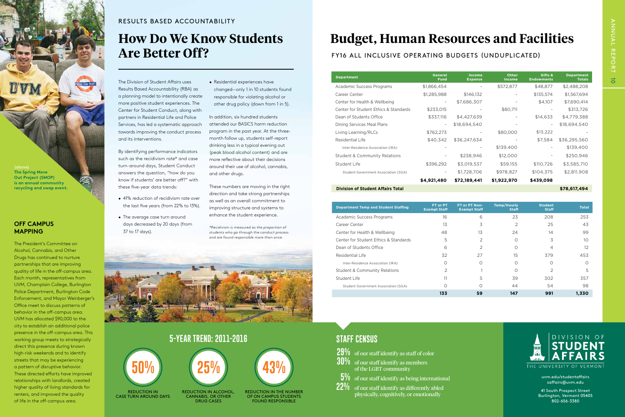#### RESULTS BASED ACCOUNTABILITY

## **How Do We Know Students Are Better Off?**

The Division of Student Affairs uses Results Based Accountability (RBA) as a planning model to intentionally create more positive student experiences. The Center for Student Conduct, along with partners in Residential Life and Police Services, has led a systematic approach towards improving the conduct process and its interventions.

By identifying performance indicators such as the recidivism rate\* and case turn-around days, Student Conduct answers the question, "how do you know if students' are better off?" with these five-year data trends:

- 41% reduction of recidivism rate over the last five years (from 22% to 13%).
- The average case turn around days decreased by 20 days (from 37 to 17 days).

• Residential experiences have changed—only 1 in 10 students found responsible for violating alcohol or other drug policy (down from 1 in 5).

In addition, six hundred students attended our BASICS harm reduction program in the past year. At the threemonth follow up, students self-report drinking less in a typical evening out (peak blood alcohol content) and are more reflective about their decisions around their use of alcohol, cannabis, and other drugs.

These numbers are moving in the right direction and take strong partnerships as well as an overall commitment to improving structure and systems to enhance the student experience.

#### **OFF CAMPUS MAPPING**

The President's Committee on Alcohol, Cannabis, and Other Drugs has continued to nurture partnerships that are improving quality of life in the off-campus area. Each month, representatives from UVM, Champlain College, Burlington Police Department, Burlington Code Enforcement, and Mayor Weinberger's Office meet to discuss patterns of behavior in the off-campus area. UVM has allocated \$90,000 to the city to establish an additional police presence in the off-campus area. This working group meets to strategically direct this presence during known high-risk weekends and to identify streets that may be experiencing a pattern of disruptive behavior. These directed efforts have improved relationships with landlords, created higher quality of living standards for renters, and improved the quality of life in the off-campus area.

## **Budget, Human Resources and Facilities**

| <b>Department Temp and Student Staffing</b> | FT or PT<br><b>Exempt Staff</b> | FT or PT Non-<br><b>Exempt Staff</b> | <b>Temp/Hourly</b><br><b>Staff</b> | <b>Student</b><br><b>Staff</b> | <b>Total</b> |
|---------------------------------------------|---------------------------------|--------------------------------------|------------------------------------|--------------------------------|--------------|
| Academic Success Programs                   | 16                              | 6                                    | 23                                 | 208                            | 253          |
| Career Center                               | 13                              | 3                                    | 2                                  | 25                             | 43           |
| Center for Health & Wellbeing               | 48                              | 13                                   | 24                                 | 14                             | 99           |
| Center for Student Ethics & Standards       | 5                               | 2                                    | O                                  | 3                              | 10           |
| Dean of Students Office                     | 6                               | 2                                    | O                                  | 4                              | 12           |
| <b>Residential Life</b>                     | 32                              | 27                                   | 15                                 | 379                            | 453          |
| Inter-Residence Association (IRA)           | O                               | $\circ$                              | O                                  | $\Omega$                       | Ω            |
| <b>Student &amp; Community Relations</b>    | 2                               |                                      | O                                  | $\overline{2}$                 | 5            |
| Student Life                                | 11                              | 5                                    | 39                                 | 302                            | 357          |
| Student Government Association (SGA)        | Ο                               | Ο                                    | 44                                 | 54                             | 98           |
|                                             | 133                             | 59                                   | 147                                | 991                            | 1.330        |

#### FY16 ALL INCLUSIVE OPERATING BUDGETS (UNDUPLICATED)

| <b>Department</b>                        | <b>General</b><br><b>Fund</b> | Income<br><b>Expense</b> | Other<br><b>Income</b> | Gifts &<br><b>Endowments</b> | <b>Department</b><br><b>Totals</b> |
|------------------------------------------|-------------------------------|--------------------------|------------------------|------------------------------|------------------------------------|
| Academic Success Programs                | \$1,866,454                   |                          | \$572,877              | \$48,877                     | \$2,488,208                        |
| Career Center                            | \$1,285,988                   | \$146,132                |                        | \$135,574                    | \$1,567,694                        |
| Center for Health & Wellbeing            |                               | \$7,686,307              |                        | \$4,107                      | \$7,690,414                        |
| Center for Student Ethics & Standards    | \$233,015                     |                          | \$80,711               | ۰                            | \$313,726                          |
| Dean of Students Office                  | \$337,116                     | \$4,427,639              |                        | \$14,633                     | \$4,779,388                        |
| Dining Services Meal Plans               | $\overline{\phantom{a}}$      | \$18,694,540             |                        | $\overline{\phantom{0}}$     | \$18,694,540                       |
| Living Learning/RLCs                     | \$762,273                     |                          | \$80,000               | \$13,222                     |                                    |
| Residential Life                         | \$40,342                      | \$36,247,634             |                        | \$7,584                      | \$36,295,560                       |
| Inter-Residence Association (IRA)        |                               |                          | \$139,400              |                              | \$139,400                          |
| <b>Student &amp; Community Relations</b> |                               | \$238,946                | \$12,000               |                              | \$250,946                          |
| Student Life                             | \$396,292                     | \$3,019,537              | \$59,155               | \$110,726                    | \$3,585,710                        |
| Student Government Association (SGA)     |                               | \$1,728,706              | \$978,827              | \$104,375                    | \$2,811,908                        |
|                                          | \$4,921,480                   | \$72,189,441             | \$1,922,970            | \$439,098                    |                                    |
| <b>Division of Student Affairs Total</b> |                               |                          |                        |                              | \$78,617,494                       |

### **STAFF CENSUS**

|        | 29% of our staff identify as staff of color                                           |
|--------|---------------------------------------------------------------------------------------|
|        | 30% of our staff identify as members<br>of the LGBT community                         |
|        | $\sqrt{5\%}$ of our staff identify as being international                             |
| $22\%$ | of our staff identify as differently abled<br>physically, cognitively, or emotionally |

## ANNUAL REPORT 10 ANUAL REPORT  $\overrightarrow{0}$



REDUCTION IN CASE TURN AROUND DAYS



**25%**

CANNABIS, OR OTHER DRUG CASES



REDUCTION IN THE NUMBER OF ON CAMPUS STUDENTS FOUND RESPONSIBLE

#### **5-YEAR TREND: 2011-2016**

uvm.edu/studentaffairs saffairs@uvm.edu

41 South Prospect Street Burlington, Vermont 05405 802-656-3380

*\*Recidivism is measured as the proportion of students who go through the conduct process and are found responsible more than once.*



**The Spring Move Out Project (SMOP) is an annual community recycling and swap event.**